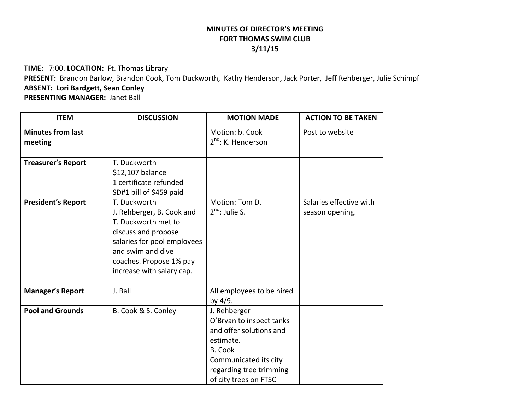## **MINUTES OF DIRECTOR'S MEETINGFORT THOMAS SWIM CLUB 3/11/15**

**TIME:** 7:00. **LOCATION:** Ft. Thomas Library **PRESENT:** Brandon Barlow, Brandon Cook, Tom Duckworth, Kathy Henderson, Jack Porter, Jeff Rehberger, Julie Schimpf **ABSENT: Lori Bardgett, Sean Conley PRESENTING MANAGER:** Janet Ball

| <b>ITEM</b>                         | <b>DISCUSSION</b>                                                                                                                                                                                   | <b>MOTION MADE</b>                                                                                                                                                              | <b>ACTION TO BE TAKEN</b>                  |
|-------------------------------------|-----------------------------------------------------------------------------------------------------------------------------------------------------------------------------------------------------|---------------------------------------------------------------------------------------------------------------------------------------------------------------------------------|--------------------------------------------|
| <b>Minutes from last</b><br>meeting |                                                                                                                                                                                                     | Motion: b. Cook<br>2 <sup>nd</sup> : K. Henderson                                                                                                                               | Post to website                            |
| <b>Treasurer's Report</b>           | T. Duckworth<br>\$12,107 balance<br>1 certificate refunded<br>SD#1 bill of \$459 paid                                                                                                               |                                                                                                                                                                                 |                                            |
| <b>President's Report</b>           | T. Duckworth<br>J. Rehberger, B. Cook and<br>T. Duckworth met to<br>discuss and propose<br>salaries for pool employees<br>and swim and dive<br>coaches. Propose 1% pay<br>increase with salary cap. | Motion: Tom D.<br>$2^{nd}$ : Julie S.                                                                                                                                           | Salaries effective with<br>season opening. |
| <b>Manager's Report</b>             | J. Ball                                                                                                                                                                                             | All employees to be hired<br>by 4/9.                                                                                                                                            |                                            |
| <b>Pool and Grounds</b>             | B. Cook & S. Conley                                                                                                                                                                                 | J. Rehberger<br>O'Bryan to inspect tanks<br>and offer solutions and<br>estimate.<br><b>B.</b> Cook<br>Communicated its city<br>regarding tree trimming<br>of city trees on FTSC |                                            |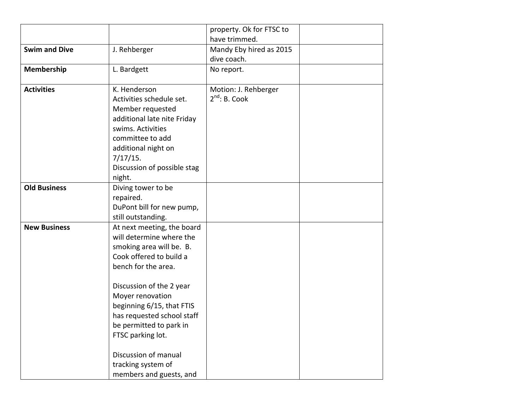|                                                                                                                                                                                                                                                                                                                                               | property. Ok for FTSC to                                |  |
|-----------------------------------------------------------------------------------------------------------------------------------------------------------------------------------------------------------------------------------------------------------------------------------------------------------------------------------------------|---------------------------------------------------------|--|
|                                                                                                                                                                                                                                                                                                                                               | have trimmed.                                           |  |
| J. Rehberger                                                                                                                                                                                                                                                                                                                                  | Mandy Eby hired as 2015                                 |  |
|                                                                                                                                                                                                                                                                                                                                               | dive coach.                                             |  |
| L. Bardgett                                                                                                                                                                                                                                                                                                                                   | No report.                                              |  |
| K. Henderson<br>Activities schedule set.<br>Member requested<br>additional late nite Friday<br>swims. Activities<br>committee to add<br>additional night on<br>7/17/15.<br>Discussion of possible stag                                                                                                                                        | Motion: J. Rehberger<br>$2^{nd}$ : B. Cook              |  |
| Diving tower to be<br>repaired.<br>DuPont bill for new pump,                                                                                                                                                                                                                                                                                  |                                                         |  |
| At next meeting, the board<br>will determine where the<br>smoking area will be. B.<br>Cook offered to build a<br>bench for the area.<br>Discussion of the 2 year<br>Moyer renovation<br>beginning 6/15, that FTIS<br>has requested school staff<br>be permitted to park in<br>FTSC parking lot.<br>Discussion of manual<br>tracking system of |                                                         |  |
|                                                                                                                                                                                                                                                                                                                                               | night.<br>still outstanding.<br>members and guests, and |  |